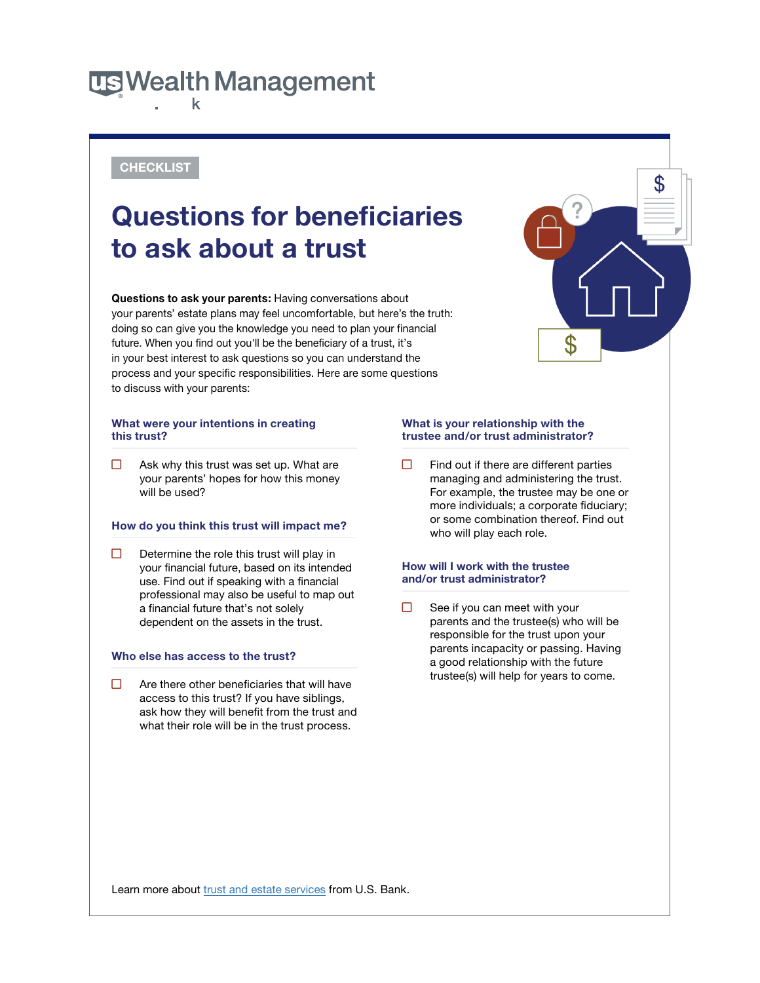## **US Wealth Management** k

### **CHECKLIST**

# **Questions for beneficiaries to ask about a trust**

 **Questions to ask your parents:** Having conversations about your parents' estate plans may feel uncomfortable, but here's the truth: doing so can give you the knowledge you need to plan your financial future. When you find out you'll be the beneficiary of a trust, it's in your best interest to ask questions so you can understand the process and your specific responsibilities. Here are some questions to discuss with your parents:

### What were your intentions in creating **What is your relationship with the this trust? trustee and/or trust administrator?**

 $\Box$ 

 $\Box$  Determine the role this trust will play in your financial future, based on its intended **How** will **I work with the trustee**  use. Find out if speaking with a financial professional may also be useful to map out a financial future that's not solely  $\Box$  See if you can meet with your

access to this trust? If you have siblings, ask how they will benefit from the trust and what their role will be in the trust process.

Ask why this trust was set up. What are  $\Box$  Find out if there are different parties your parents' hopes for how this money managing and administering the trust. will be used? The used of the state of the use of the use of the trustee may be one or more individuals; a corporate fiduciary; or some combination thereof. Find out **How do you think this trust will impact me?** who will play each role.

 $\boldsymbol{\mathfrak{L}}$ 

 $\Box$ dependent on the assets in the trust. **parents and the trustee(s)** who will be responsible for the trust upon your parents incapacity or passing. Having **Who else has access to the trust?** a good relationship with the future  $\Box$  Are there other beneficiaries that will have trustee(s) will help for years to come.

Learn more about [trust and estate services](https://www.usbank.com/wealth-management/trust-and-estate-services.html) from U.S. Bank.